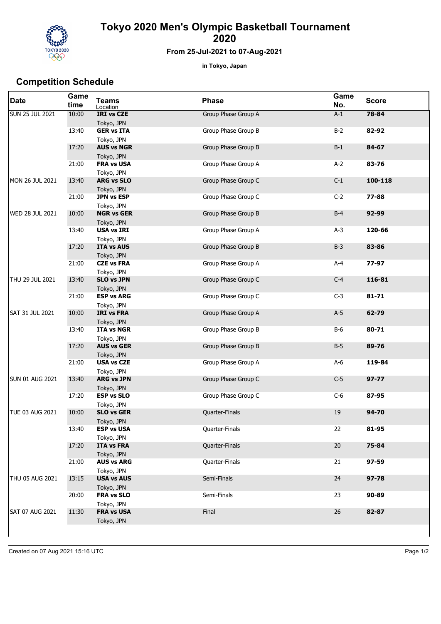

## **Tokyo 2020 Men's Olympic Basketball Tournament 2020**

## **From 25-Jul-2021 to 07-Aug-2021**

**in Tokyo, Japan**

## **Competition Schedule**

| <b>Date</b>            | Game<br>time | <b>Teams</b><br>Location                      | <b>Phase</b>        | Game<br>No. | <b>Score</b> |
|------------------------|--------------|-----------------------------------------------|---------------------|-------------|--------------|
| <b>SUN 25 JUL 2021</b> | 10:00        | <b>IRI vs CZE</b><br>Tokyo, JPN               | Group Phase Group A | $A-1$       | 78-84        |
|                        | 13:40        | <b>GER vs ITA</b><br>Tokyo, JPN               | Group Phase Group B | $B-2$       | 82-92        |
|                        | 17:20        | <b>AUS vs NGR</b><br>Tokyo, JPN               | Group Phase Group B | $B-1$       | 84-67        |
|                        | 21:00        | <b>FRA vs USA</b><br>Tokyo, JPN               | Group Phase Group A | $A-2$       | 83-76        |
| MON 26 JUL 2021        | 13:40        | <b>ARG vs SLO</b><br>Tokyo, JPN               | Group Phase Group C | $C-1$       | 100-118      |
|                        | 21:00        | <b>JPN vs ESP</b><br>Tokyo, JPN               | Group Phase Group C | $C-2$       | 77-88        |
| <b>WED 28 JUL 2021</b> | 10:00        | <b>NGR vs GER</b><br>Tokyo, JPN               | Group Phase Group B | $B-4$       | 92-99        |
|                        | 13:40        | <b>USA vs IRI</b><br>Tokyo, JPN               | Group Phase Group A | $A-3$       | 120-66       |
|                        | 17:20        | <b>ITA vs AUS</b><br>Tokyo, JPN               | Group Phase Group B | $B-3$       | 83-86        |
|                        | 21:00        | <b>CZE vs FRA</b><br>Tokyo, JPN               | Group Phase Group A | A-4         | 77-97        |
| THU 29 JUL 2021        | 13:40        | <b>SLO vs JPN</b>                             | Group Phase Group C | $C-4$       | 116-81       |
|                        | 21:00        | Tokyo, JPN<br><b>ESP vs ARG</b><br>Tokyo, JPN | Group Phase Group C | $C-3$       | $81 - 71$    |
| SAT 31 JUL 2021        | 10:00        | <b>IRI vs FRA</b><br>Tokyo, JPN               | Group Phase Group A | $A-5$       | 62-79        |
|                        | 13:40        | <b>ITA vs NGR</b><br>Tokyo, JPN               | Group Phase Group B | $B-6$       | 80-71        |
|                        | 17:20        | <b>AUS vs GER</b>                             | Group Phase Group B | $B-5$       | 89-76        |
|                        | 21:00        | Tokyo, JPN<br><b>USA vs CZE</b>               | Group Phase Group A | $A-6$       | 119-84       |
| <b>SUN 01 AUG 2021</b> | 13:40        | Tokyo, JPN<br><b>ARG vs JPN</b>               | Group Phase Group C | $C-5$       | $97 - 77$    |
|                        | 17:20        | Tokyo, JPN<br><b>ESP vs SLO</b>               | Group Phase Group C | $C-6$       | 87-95        |
| TUE 03 AUG 2021        | 10:00        | Tokyo, JPN<br><b>SLO vs GER</b>               | Quarter-Finals      | 19          | 94-70        |
|                        | 13:40        | Tokyo, JPN<br><b>ESP vs USA</b><br>Tokyo, JPN | Quarter-Finals      | 22          | 81-95        |
|                        | 17:20        | <b>ITA vs FRA</b><br>Tokyo, JPN               | Quarter-Finals      | $20\,$      | 75-84        |
|                        | 21:00        | <b>AUS vs ARG</b><br>Tokyo, JPN               | Quarter-Finals      | 21          | 97-59        |
| THU 05 AUG 2021        | 13:15        | <b>USA vs AUS</b><br>Tokyo, JPN               | Semi-Finals         | 24          | 97-78        |
|                        | 20:00        | FRA vs SLO<br>Tokyo, JPN                      | Semi-Finals         | 23          | 90-89        |
| SAT 07 AUG 2021        | 11:30        | <b>FRA vs USA</b><br>Tokyo, JPN               | Final               | 26          | 82-87        |
|                        |              |                                               |                     |             |              |